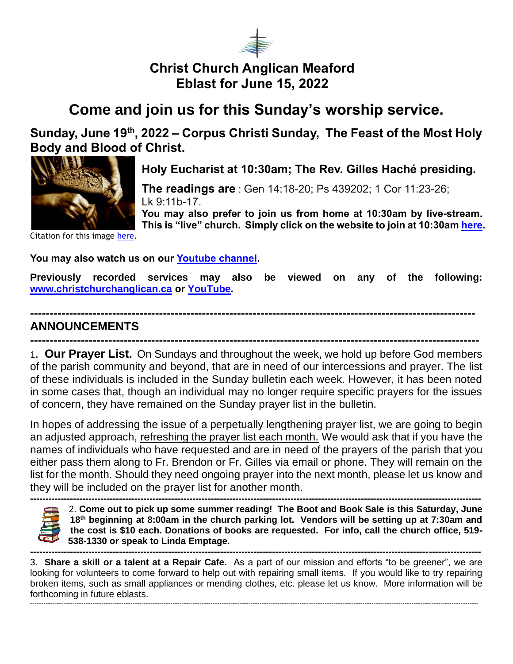

## **Christ Church Anglican Meaford Eblast for June 15, 2022**

## **Come and join us for this Sunday's worship service.**

**Sunday, June 19 th, 2022 – Corpus Christi Sunday, The Feast of the Most Holy Body and Blood of Christ.** 



**Holy Eucharist at 10:30am; The Rev. Gilles Haché presiding.**

**The readings are** : Gen 14:18-20; Ps 439202; 1 Cor 11:23-26; Lk 9:11b-17.

**You may also prefer to join us from home at 10:30am by live-stream. This is "live" church. Simply click on the website to join at 10:30am [here.](https://christchurchanglican.ca/)** 

Citation for this image [here.](https://diglib.library.vanderbilt.edu/act-imagelink.pl?RC=54927)

**You may also watch us on our [Youtube channel.](https://www.youtube.com/playlist?list=PL_K_skDetjaA7oeKPxsvRmuoEcKBTkW5D)** 

**Previously recorded services may also be viewed on any of the following: [www.christchurchanglican.ca](http://www.christchurchanglican.ca/) or [YouTube.](https://www.youtube.com/channel/UCcJHYZ4ZTnJDu7skpcd4O5A)** 

## **------------------------------------------------------------------------------------------------------------------ ANNOUNCEMENTS**

**-------------------------------------------------------------------------------------------------------------------** 1. **Our Prayer List.** On Sundays and throughout the week, we hold up before God members of the parish community and beyond, that are in need of our intercessions and prayer. The list of these individuals is included in the Sunday bulletin each week. However, it has been noted in some cases that, though an individual may no longer require specific prayers for the issues of concern, they have remained on the Sunday prayer list in the bulletin.

In hopes of addressing the issue of a perpetually lengthening prayer list, we are going to begin an adjusted approach, refreshing the prayer list each month. We would ask that if you have the names of individuals who have requested and are in need of the prayers of the parish that you either pass them along to Fr. Brendon or Fr. Gilles via email or phone. They will remain on the list for the month. Should they need ongoing prayer into the next month, please let us know and they will be included on the prayer list for another month.



**---------------------------------------------------------------------------------------------------------------------------------------------------** 2. **Come out to pick up some summer reading! The Boot and Book Sale is this Saturday, June 18th beginning at 8:00am in the church parking lot. Vendors will be setting up at 7:30am and the cost is \$10 each. Donations of books are requested. For info, call the church office, 519- 538-1330 or speak to Linda Emptage. ---------------------------------------------------------------------------------------------------------------------------------------------------**

3. **Share a skill or a talent at a Repair Cafe.** As a part of our mission and efforts "to be greener", we are looking for volunteers to come forward to help out with repairing small items. If you would like to try repairing broken items, such as small appliances or mending clothes, etc. please let us know. More information will be forthcoming in future eblasts. ---------------------------------------------------------------------------------------------------------------------------------------------------------------------------------------------------------